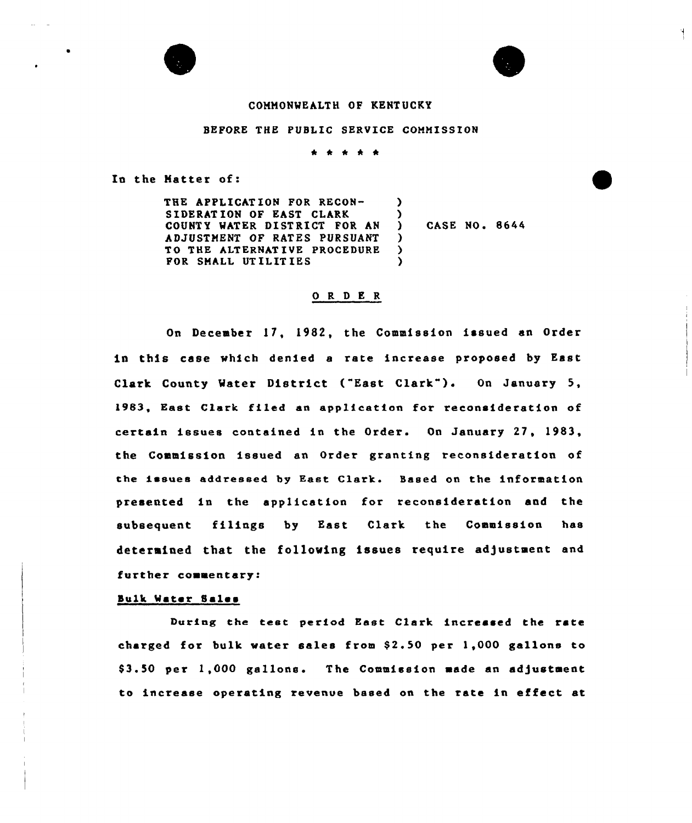

# COMMONWEALTH OF KENTUCKY

### BEFORE THE PUBLIC SERVICE COMMISSION

\* \* \* \* \*

In the Matter of:

THE APPLICATION FOR RECON-SIDERATION OF EAST CLARK COUNTY WATER DISTRICT FOR AN AD JUSTNENT OF RATES PURSUANT TO THE ALTERNAT IVE PROCEDURE FOR SHALL UT ILIT IES )  $\lambda$ )  $\lambda$ )

) CASE NO <sup>~</sup> 8644

Ħ.

#### 0 R <sup>D</sup> E R

On December 17, 1982, the Commission issued an Order in this case which denied e rate increase proposed by East Clark County Water District ("East Clark"). On January 5, 1983, East Clark filed an application for reconsideration of certain issues contained in the Order. On January 27, 1983, the Commission issued an Order granting reconsideration of the issues addressed by East Clark. Based on the information presented in the application for reconsideration and the subsequent filings by East Clark the Commission has determined that the following issues require adjustment and further commentary:

#### Bulk Water Sales

During the test period East Clark increased the rate charged for bulk water sales from  $$2.50$  per  $1,000$  gallons to \$3.50 per 1,000 gallons. The Commission made an adjustment to increase operating revenue based on the rate in effect at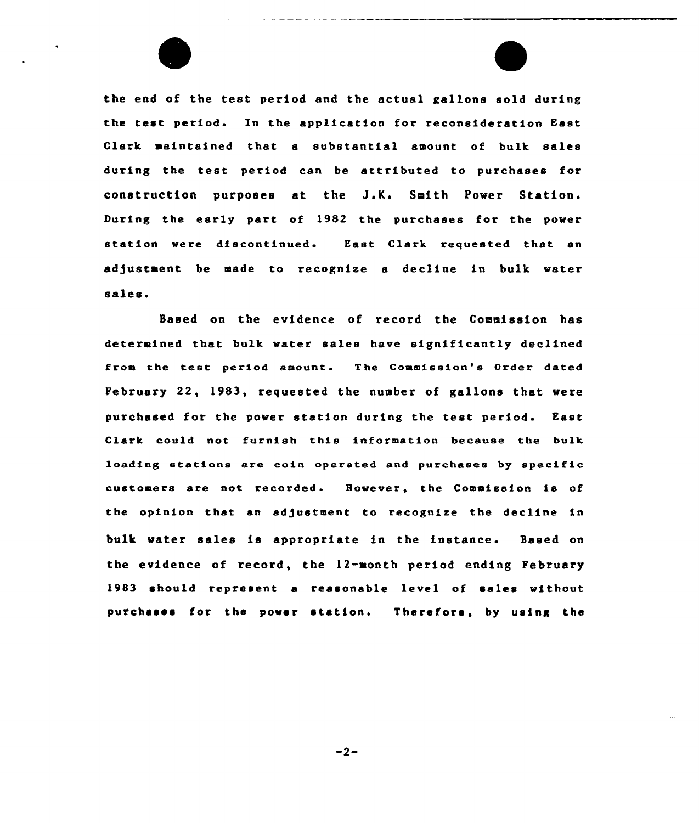

the end of the test period and the actual gallons sold during the test period. In the application for reconsideration East Clark maintained that a substantial amount of bulk sales during the test period can be attributed to purchases for construction purposes at the J.K. Smith Power Station. During the early part of 1982 the purchases for the power station were discontinued. East Clark requested that an adjustment be made to recognize a decline in bulk water sales.

Based on the evidence of record the Commission has determined that bulk water sales have significantly declined from the test period amount. The Commission's Order dated February 22, 1983, requested the number of gallons that were purchased for the power station during the test period. East Clark could not furnish this information because the bulk loading stations ere coin operated and purchases by specific customers are not recorded. However, the Commission is of the opinion that an adjustment to recognize the decline in bulk water sales is appropriate in the instance. Based on the evidence of record, the 12-month period ending February 19S3 should represent a reasonable level of sales without purchases for the power stations Therefore, by using the

 $-2-$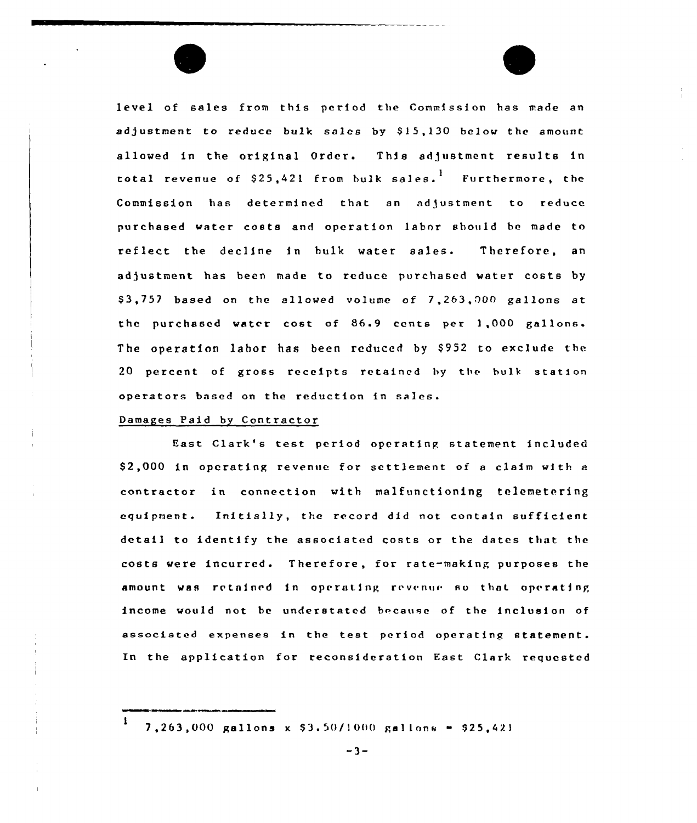level of sales from this period the Commission has made an adjustment to reduce bulk sales by \$15,130 below the amount allowed in the original Order. This adjustment results in total revenue of \$25,421 from bulk sales.  $^{\mathrm{l}}$  Furthermore, the Commission has determined that an adjustment to reduce purchased water costs and operation labor should bc made to reflect the decline in bulk water sales. Therefore, an adjustment has been made to reduce purchased water costs by \$ 3,757 based on the allowed volume of 7,263,000 gallons at the purchased water cost of 86.9 cents per 1,000 gallons. The operation labor has been reduced by \$952 to exclude the 20 percent of gross receipts retained by thc hulk station operators based on the reduction in sales.

## Damages Paid by Contractor

East Clark's test period operating statement included S2,000 in operating revenue for settlement of <sup>a</sup> claim with a contractor in connection with malfunctioning telemetering equipment. Initially, the record did not contain sufficient detail to identify the associated costs or the dates that the costs were incurred. Therefore, for rate-making purposes the amount was retained in operating revenue so that operating income would not be understated because of the inclusion of associated expenses in the test period operating statement. In the application for reconsideration East Clark requested

<sup>1</sup> 7,263,000 gallons x \$3.50/1000 gallons = \$25,421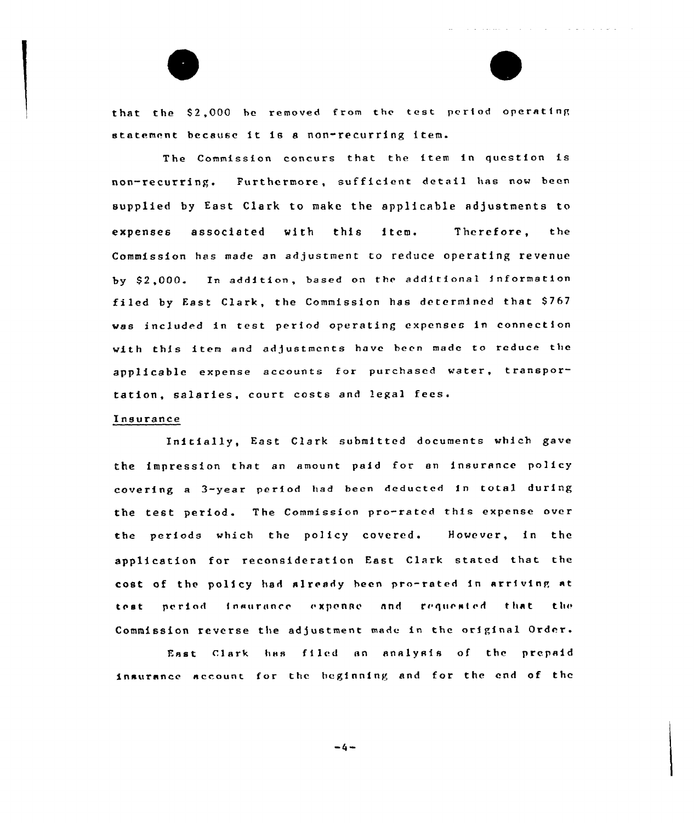that the S2,000 be removed from the test period operating statement because it is a non-recurring item.

المتمام والمتمام والمتماري والمتحدث والمتحدث والمتحدث والمتحدث والمنافر

The Cammission concurs that the item in question is non-recurring. Furthermare, sufficient detail has now been supplied by East Clark to make the applicable adjustments to expenses associated with this item. Therefore, the Commission has made an adjustment to reduce operating revenue by \$2,000. In addition, based on the additional information filed by East Clark, the Commission has determined that \$767 was included in test period operating expenses in connection with this item and adjustments have been made to reduce the applicable expense accounts for purchased water, transportation, salaries, court costs and legal

### Insurance

Initially, East C1ark submitted documents which gave the impression that. an amount paid for an insurance policy covering <sup>a</sup> 3-year period had been deducted in total during the test period. The Commission pro-rated this expense over the periods which the policy covered. However, in the application for reconsideration East Clark stated that the cost of the policy had already been pro-rated in arriving at test period insurance expense and requested that the Commission reverse the adjustment made in the ariginal Order.

East Clark has filed an analysis af the prepaid insurance account for the beginning and for the end of the

 $-4-$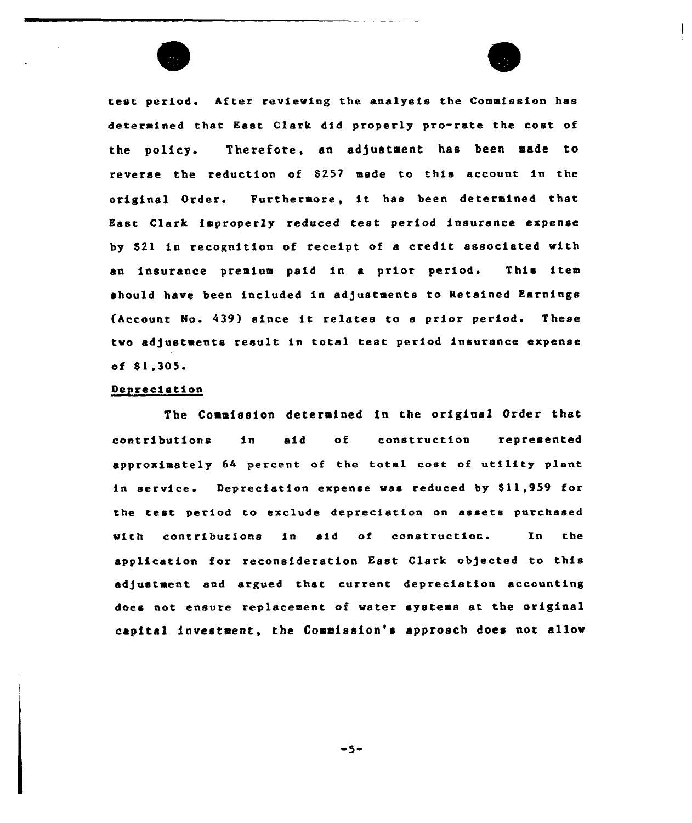



test period, After reviewing the analysis the Commission has determined that East, Clark did properly pro-rate the cost of the policy. Therefore, an adjustment has been made to reverse the reduction of \$257 made to this account in the original Order. Furthermore, it has been determined that East Clark improperly reduced test period insurance expense by \$21 in recognition of receipt of a credit associated with an insurance premium paid in a prior period. This item should have been included in adjustments to Retained Earnings (Account No. 439) since it relates to a prior period. These two adjustments result in total test period insurance expense of  $$1,305.$ 

### Depreciation

The Commission determined in the original Order that contributions in aid of construction represented approximately 64 percent of the total cost of utility plant in service. Depreciation expense was reduced by \$11,959 for the test period to exclude depreciation on assets purchased with contributions in aid of construction. In the application for reconsideration East Clark objected to this adjustment and argued that current depreciation accounting does not ensure replacement of water systems at the original capital investment, the Commission's approach does not allow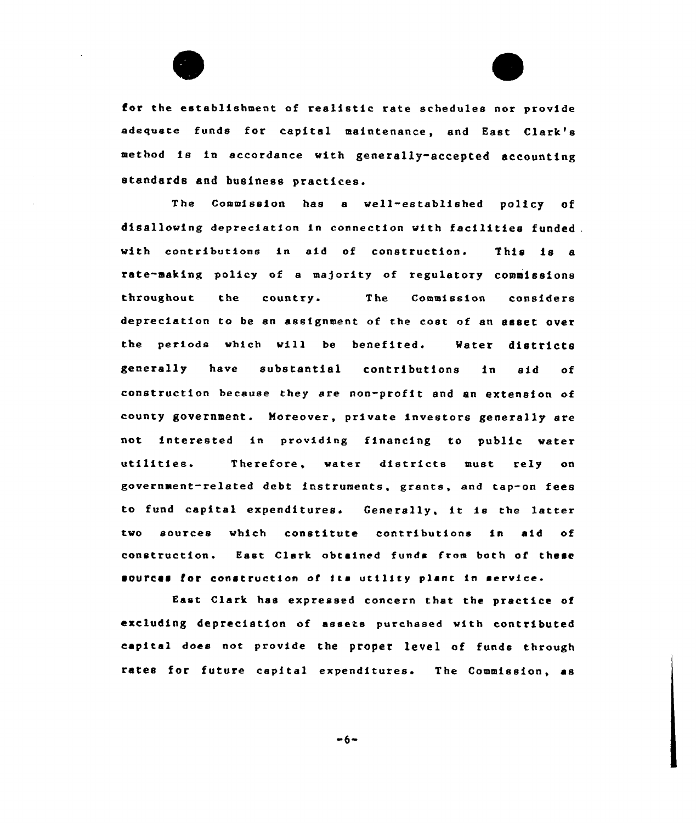for the establishment of realistic rate schedules nor provide adequate funds for capital maintenance, and East Clark's method is in accordance with generally-accepted accounting standards and business practices.

The Commission has a well-established policy disallowing depreciation in connection with facilities funded. with contributions in aid of construction. This is a rste-making policy of e majority of regulatory commissions throughout the country- The Commission considers depreciation to be an assignment of the cost of an asset over the periods which will be benefited. Mater districts generally have substantial contributions in aid of construction because they are non-profit and an extension of county government. Moreover, private investors generally are not interested in providing financing to public water utilities. Therefore, water districts must rely on government-related debt instruments, grants, and tap-on fees to fund capital expenditures. Generally, it is the latter two sources which constitute contributions in aid of construction. East Clark obtained funds from both of these sources for construction of its utility plant in service.

East Clark has expressed concern that the practice of excluding depreciation of assets purchased with contributed capital does not provide the proper level of funds through rates for future capital expenditures. The Commission, as

 $-6-$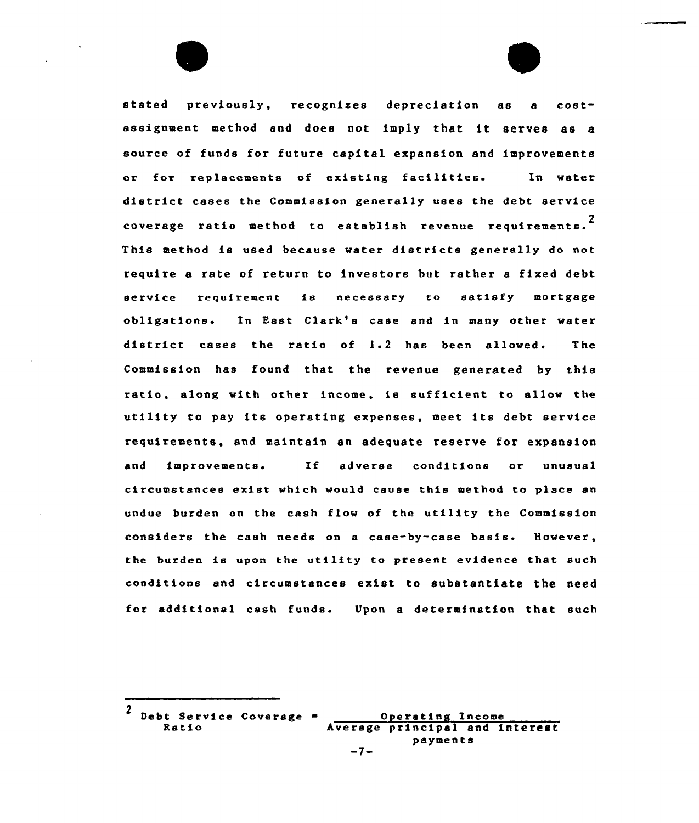stated previously, recognises depreciation as <sup>a</sup> costassignment method and does not imply that it serves as <sup>a</sup> source of funds for future capital expansion and improvements or for replacements of existing facilities. In water district cases the Commission generally uses the debt service coverage ratio method to establish revenue requirements. $^{\text{2}}$ This method is used because water districts generally do not require a rate of return to investors but rather a fixed debt service requirement is necessary to satisfy mortgage obligations. In East Clark's case and in many other water district cases the ratio of 1.2 has been allowed. The Commission has found that the revenue generated by this ratio, along with other income, is sufficient to allow the utility to pay its operating expenses, meet its debt service requirements, and maintain an adequate reserve for expansion and improvements. If adverse conditions or unusual circumstances exist which would cause this method to place an undue burden on the cash flow of the utility the Commission considers the cash needs on a case-by-case basis. However, the burden is upon the utility to present evidence that such conditions and circumstances exist to substantiate the need for additional cash funds. Upon a determination that such

<sup>2</sup> Debt Service Coverage = 0 Operating Income<br>Ratio hverage principal and interest payments -7-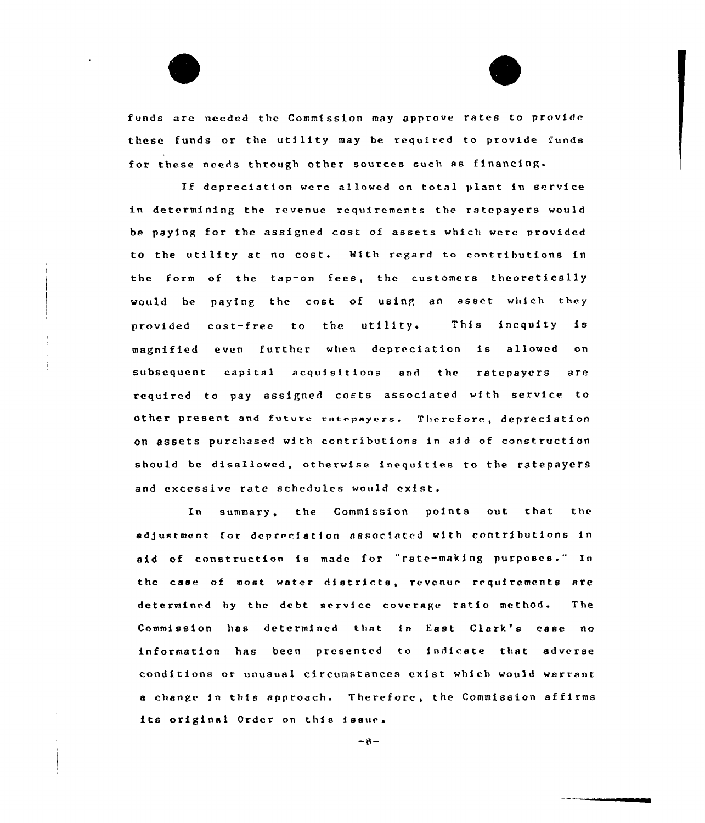funds are needed the Commission may approve rates to provide these funds or the utility may be required to provide funds for these needs through other sources such as financing.

If depreciation werc allowed on total plant in service in determining tbe revenue requirements the ratepaycrs would be paying for tbe assigned cost of assete which were provided to the utility at no cost. With regard to contributions in the form of the tap-on fees, the customers theoretically would be paying the cost of using an asset which they provided cost-free to the utility, This inequity is magnified even further when depreciation is allowed on subsequent capital acquisitions end the ratepaycrs are required to pay assipned costs associated with service to other present and future ratepayers. Therefore, depreciation on assets purchased with contributions in aid of construction should be disallowed, otherwise inequities to the ratepayers and excessive rate schedules would exist.

In summary, the Commission points out that the adjustment for depreciation associated with contributions in aid of construction ie made for "rate-making purposes." In thc case of most water districts, revenue requirements are determined hy the debt service coverage ratio method. The Commission has determined that in East Clark's case no information has been presented to indicate that adverse conditions or unusual circumstances exist which would warrant <sup>a</sup> change in this approach. Therefore, the Commission affirms its original Order on this issue.

 $-8-$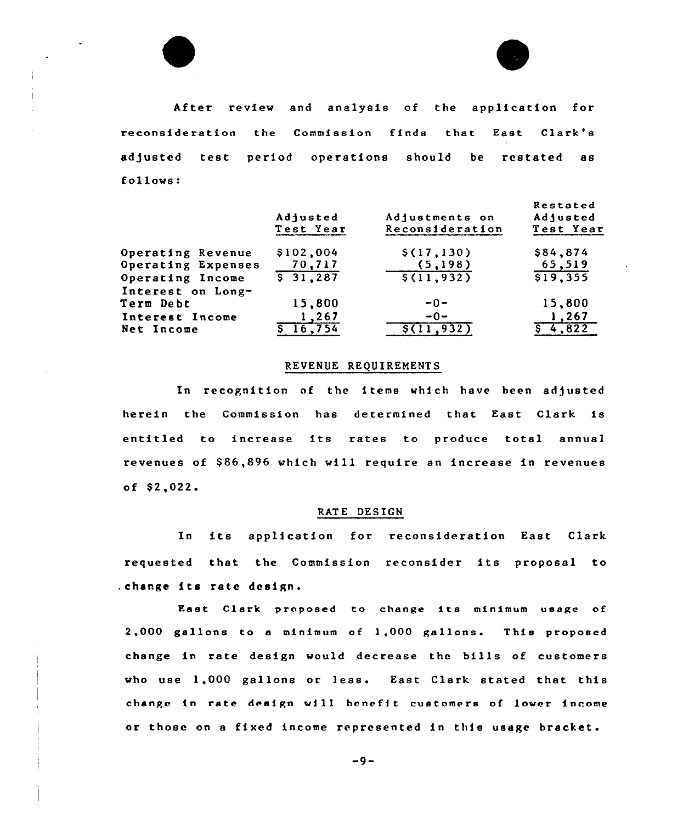



|                                                                 | Adjusted<br>Test Year              | Adjustments on<br>Reconsideration   | Restated<br>Adjusted<br>Test Year |
|-----------------------------------------------------------------|------------------------------------|-------------------------------------|-----------------------------------|
| Operating Revenue<br>Operating Expenses<br>Operating Income     | \$102,004<br>70,717<br>$5\ 31.287$ | \$(17,130)<br>(5,198)<br>5(11, 932) | \$84,874<br>65,519<br>519,355     |
| Interest on Long-<br>Term Debt<br>Interest Income<br>Net Income | 15,800<br>1,267<br>16,754          | $-0-$<br>$-0-$<br>11,932            | 15,800<br>$\sqrt{267}$<br>4.822   |

## REVENUE REQUIREMENTS

In recognition of the items which have been adjusted herein the Commission has determined that East Clark is entitled to increase its rates to produce total annual revenues of \$86,896 which will require an increase in revenues of  $$2,022$ .

## RATE DESIGN

In its application for reconsideration East Clark requested that the Commission reconsider its proposal to . change its rate design.

East Clark proposed to change its minimum usage of 2,000 gallons to <sup>a</sup> minimum of 1,000 gallons. This proposed change in rate design would decrease the bills of customers who use 1,000 gallons or less. East Clark stated that this change in rate design will benefit customers of lower income or those on <sup>a</sup> fixed income represented in this usage bracket.

 $-9-$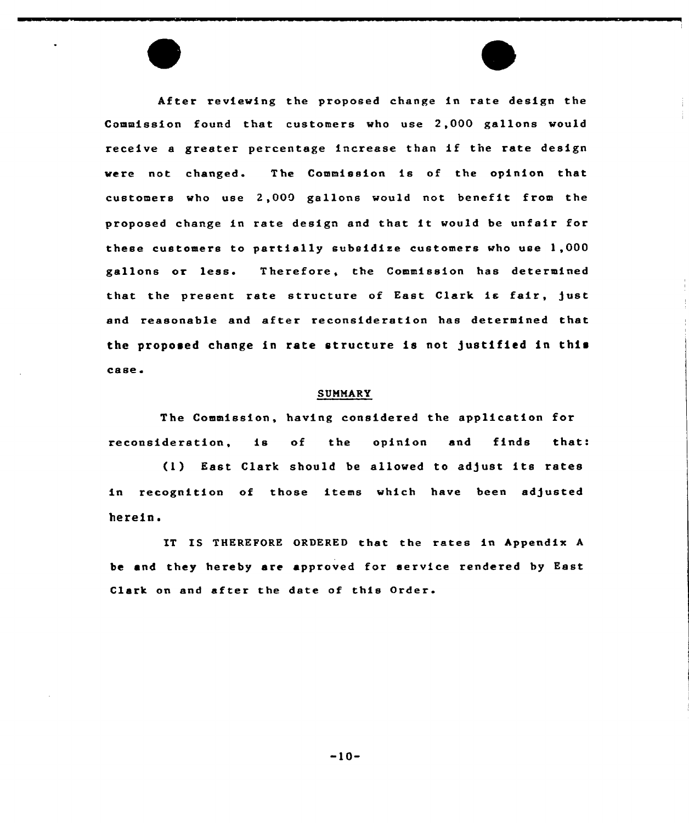After reviewing the proposed change in rate design the Commission found that customers who use 2,000 gallons would receive <sup>a</sup> greater percentage increase than if the rate design were not changed. The Commission is of the opinion that customers who use  $2,000$  gallons would not benefit from the proposed change in rate design and that it would be unfair for these customers to partially subsidise customers who use 1,000 gallons or less. Therefore, the Commission has determined that the present rate structure of East Clark is fair, just and reasonable and after reconsideration has determined that the proposed change in rate structure is not justified in this case.

#### **SUMMARY**

The Commission, having considered the application for reconsideration, is of the opinion and finds that:

(1) East Clark should be allowed to adjust its rates in recognition of those items which have been adjusted herein.

IT IS THEREPORE ORDERED that the rates in Appendix <sup>A</sup> be and they hereby are approved for service rendered by East Clark on and after the date of this Order.

 $-10-$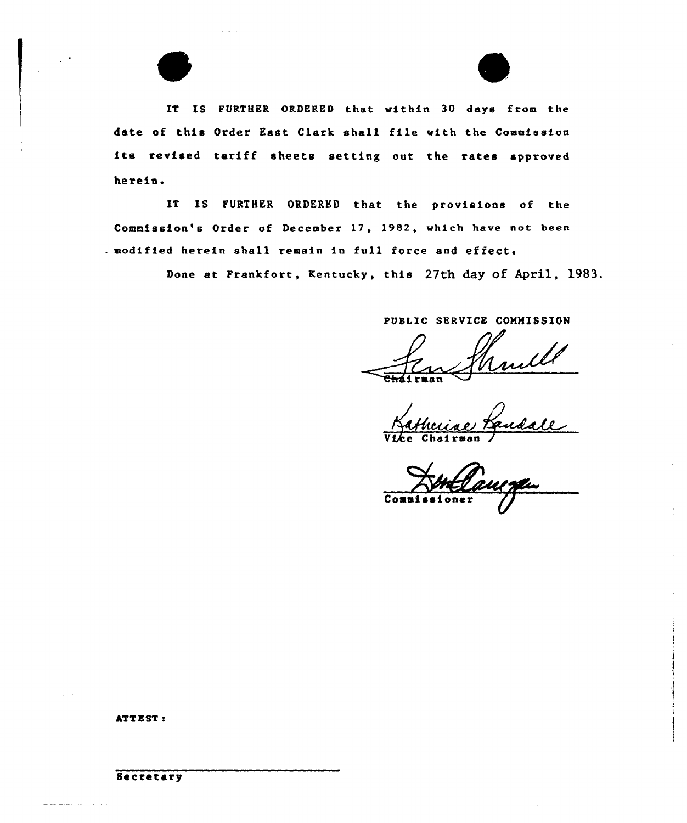IT IS FURTHER ORDERED that within 30 days from the date of this Order East Clark shall file with the Commission its revised tariff sheets setting out the rates approved herein.

IT IS FURTHER ORDERED that the provisions of the Commission's Order of December 17, 1982, which have not been . modified herein shall remain in full force and effect.

Done at Frankfort, Kentucky, this 27th day of April, l983.

PUSLIC SERVICE COMMISSION

Vice Chairman

Commi

# **ATTEST:**

## Secretary